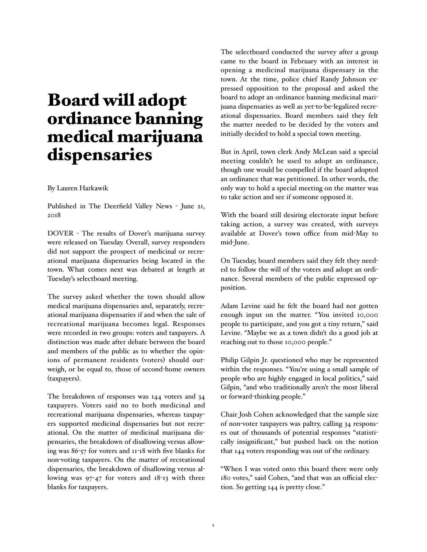## Board will adopt ordinance banning medical marijuana dispensaries

## By Lauren Harkawik

Published in The Deerfield Valley News - June 21, 2018

DOVER - The results of Dover's marijuana survey were released on Tuesday. Overall, survey responders did not support the prospect of medicinal or recreational marijuana dispensaries being located in the town. What comes next was debated at length at Tuesday's selectboard meeting.

The survey asked whether the town should allow medical marijuana dispensaries and, separately, recreational marijuana dispensaries if and when the sale of recreational marijuana becomes legal. Responses were recorded in two groups: voters and taxpayers. A distinction was made after debate between the board and members of the public as to whether the opinions of permanent residents (voters) should outweigh, or be equal to, those of second-home owners (taxpayers).

The breakdown of responses was 144 voters and 34 taxpayers. Voters said no to both medicinal and recreational marijuana dispensaries, whereas taxpayers supported medicinal dispensaries but not recreational. On the matter of medicinal marijuana dispensaries, the breakdown of disallowing versus allowing was 86-57 for voters and 11-18 with five blanks for non-voting taxpayers. On the matter of recreational dispensaries, the breakdown of disallowing versus allowing was 97-47 for voters and 18-13 with three blanks for taxpayers.

The selectboard conducted the survey after a group came to the board in February with an interest in opening a medicinal marijuana dispensary in the town. At the time, police chief Randy Johnson expressed opposition to the proposal and asked the board to adopt an ordinance banning medicinal marijuana dispensaries as well as yet-to-be-legalized recreational dispensaries. Board members said they felt the matter needed to be decided by the voters and initially decided to hold a special town meeting.

But in April, town clerk Andy McLean said a special meeting couldn't be used to adopt an ordinance, though one would be compelled if the board adopted an ordinance that was petitioned. In other words, the only way to hold a special meeting on the matter was to take action and see if someone opposed it.

With the board still desiring electorate input before taking action, a survey was created, with surveys available at Dover's town office from mid-May to mid-June.

On Tuesday, board members said they felt they needed to follow the will of the voters and adopt an ordinance. Several members of the public expressed opposition.

Adam Levine said he felt the board had not gotten enough input on the matter. "You invited 10,000 people to participate, and you got a tiny return," said Levine. "Maybe we as a town didn't do a good job at reaching out to those 10,000 people."

Philip Gilpin Jr. questioned who may be represented within the responses. "You're using a small sample of people who are highly engaged in local politics," said Gilpin, "and who traditionally aren't the most liberal or forward-thinking people."

Chair Josh Cohen acknowledged that the sample size of non-voter taxpayers was paltry, calling 34 responses out of thousands of potential responses "statistically insignificant," but pushed back on the notion that 144 voters responding was out of the ordinary.

"When I was voted onto this board there were only 180 votes," said Cohen, "and that was an official election. So getting 144 is pretty close."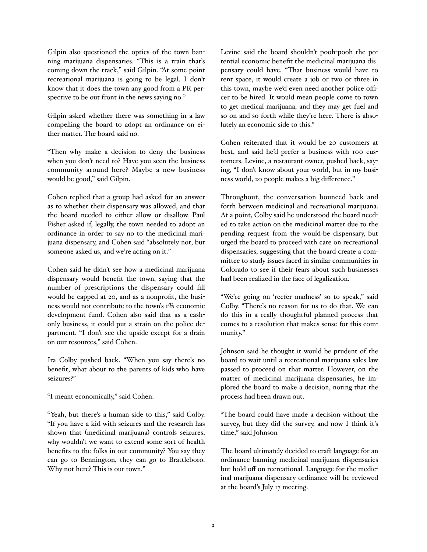Gilpin also questioned the optics of the town banning marijuana dispensaries. "This is a train that's coming down the track," said Gilpin. "At some point recreational marijuana is going to be legal. I don't know that it does the town any good from a PR perspective to be out front in the news saying no."

Gilpin asked whether there was something in a law compelling the board to adopt an ordinance on either matter. The board said no.

"Then why make a decision to deny the business when you don't need to? Have you seen the business community around here? Maybe a new business would be good," said Gilpin.

Cohen replied that a group had asked for an answer as to whether their dispensary was allowed, and that the board needed to either allow or disallow. Paul Fisher asked if, legally, the town needed to adopt an ordinance in order to say no to the medicinal marijuana dispensary, and Cohen said "absolutely not, but someone asked us, and we're acting on it."

Cohen said he didn't see how a medicinal marijuana dispensary would benefit the town, saying that the number of prescriptions the dispensary could fill would be capped at 20, and as a nonprofit, the business would not contribute to the town's 1% economic development fund. Cohen also said that as a cashonly business, it could put a strain on the police department. "I don't see the upside except for a drain on our resources," said Cohen.

Ira Colby pushed back. "When you say there's no benefit, what about to the parents of kids who have seizures?"

"I meant economically," said Cohen.

"Yeah, but there's a human side to this," said Colby. "If you have a kid with seizures and the research has shown that (medicinal marijuana) controls seizures, why wouldn't we want to extend some sort of health benefits to the folks in our community? You say they can go to Bennington, they can go to Brattleboro. Why not here? This is our town."

Levine said the board shouldn't pooh-pooh the potential economic benefit the medicinal marijuana dispensary could have. "That business would have to rent space, it would create a job or two or three in this town, maybe we'd even need another police officer to be hired. It would mean people come to town to get medical marijuana, and they may get fuel and so on and so forth while they're here. There is absolutely an economic side to this."

Cohen reiterated that it would be 20 customers at best, and said he'd prefer a business with 100 customers. Levine, a restaurant owner, pushed back, saying, "I don't know about your world, but in my business world, 20 people makes a big difference."

Throughout, the conversation bounced back and forth between medicinal and recreational marijuana. At a point, Colby said he understood the board needed to take action on the medicinal matter due to the pending request from the would-be dispensary, but urged the board to proceed with care on recreational dispensaries, suggesting that the board create a committee to study issues faced in similar communities in Colorado to see if their fears about such businesses had been realized in the face of legalization.

"We're going on 'reefer madness' so to speak," said Colby. "There's no reason for us to do that. We can do this in a really thoughtful planned process that comes to a resolution that makes sense for this community."

Johnson said he thought it would be prudent of the board to wait until a recreational marijuana sales law passed to proceed on that matter. However, on the matter of medicinal marijuana dispensaries, he implored the board to make a decision, noting that the process had been drawn out.

"The board could have made a decision without the survey, but they did the survey, and now I think it's time," said Johnson

The board ultimately decided to craft language for an ordinance banning medicinal marijuana dispensaries but hold off on recreational. Language for the medicinal marijuana dispensary ordinance will be reviewed at the board's July 17 meeting.